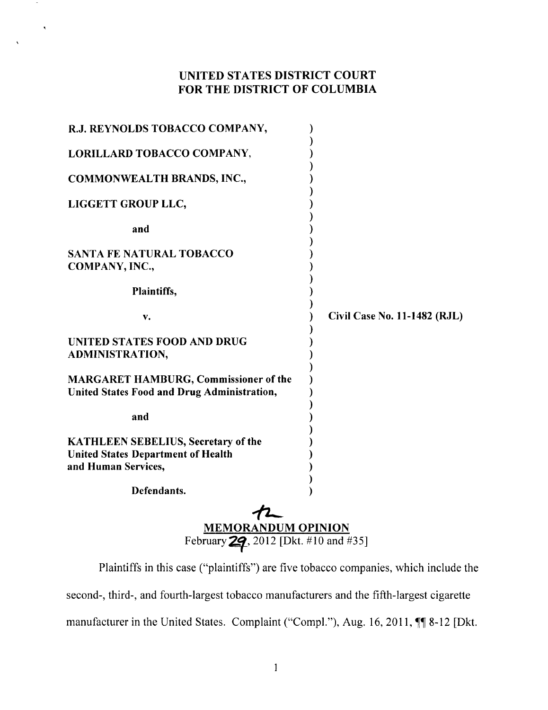## UNITED STATES DISTRICT COURT FOR THE DISTRICT OF COLUMBIA

 $\bar{\mathbf{v}}$ 

| R.J. REYNOLDS TOBACCO COMPANY,                                                                                 |                                     |
|----------------------------------------------------------------------------------------------------------------|-------------------------------------|
| LORILLARD TOBACCO COMPANY,                                                                                     |                                     |
| COMMONWEALTH BRANDS, INC.,                                                                                     |                                     |
| LIGGETT GROUP LLC,                                                                                             |                                     |
| and                                                                                                            |                                     |
| <b>SANTA FE NATURAL TOBACCO</b><br>COMPANY, INC.,                                                              |                                     |
| Plaintiffs,                                                                                                    |                                     |
| v.                                                                                                             | <b>Civil Case No. 11-1482 (RJL)</b> |
| UNITED STATES FOOD AND DRUG<br>ADMINISTRATION,                                                                 |                                     |
| MARGARET HAMBURG, Commissioner of the<br>United States Food and Drug Administration,                           |                                     |
| and                                                                                                            |                                     |
| <b>KATHLEEN SEBELIUS, Secretary of the</b><br><b>United States Department of Health</b><br>and Human Services, |                                     |
| Defendants.                                                                                                    |                                     |
| <b>MEMORANDUM OPINION</b><br>February 29, 2012 [Dkt. #10 and #35]                                              |                                     |

Plaintiffs in this case ("plaintiffs") are five tobacco companies, which include the second-, third-, and fourth-largest tobacco manufacturers and the fifth-largest cigarette manufacturer in the United States. Complaint ("Compl."), Aug. 16, 2011,  $\P\P$  8-12 [Dkt.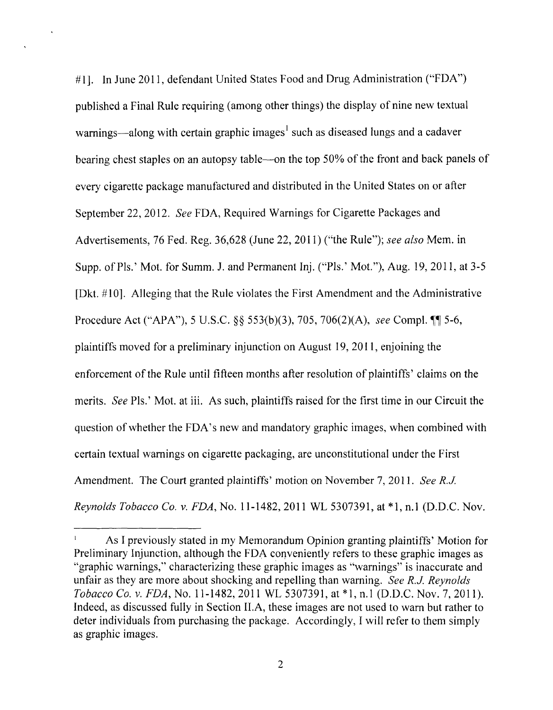#1]. In June 2011, defendant United States Food and Drug Administration ("FDA") published a Final Rule requiring (among other things) the display of nine new textual warnings—along with certain graphic images<sup>1</sup> such as diseased lungs and a cadaver bearing chest staples on an autopsy table-on the top 50% of the front and back panels of every cigarette package manufactured and distributed in the United States on or after September 22,2012. *See* FDA, Required Warnings for Cigarette Packages and Advertisements, 76 Fed. Reg. 36,628 (June 22,2011) ("the Rule"); *see also* Mem. in Supp. of Pls.' Mot. for Summ. J. and Permanent Inj. ("Pls.' Mot."), Aug. 19, 2011, at 3-5 [Dkt. #10]. Alleging that the Rule violates the First Amendment and the Administrative Procedure Act ("APA"), 5 U.S.C. §§ 553(b)(3), 705, 706(2)(A), *see* Compl. ¶ 5-6, plaintiffs moved for a preliminary injunction on August 19,2011, enjoining the enforcement of the Rule until fifteen months after resolution of plaintiffs' claims on the merits. *See* Pis.' Mot. at iii. As such, plaintiffs raised for the first time in our Circuit the question of whether the FDA's new and mandatory graphic images, when combined with certain textual warnings on cigarette packaging, are unconstitutional under the First Amendment. The Court granted plaintiffs' motion on November 7,2011. *See R.J. Reynolds Tobacco Co.* v. *FDA,* No. 11-1482,2011 WL 5307391, at \*1, n.l (D.D.C. Nov.

 $\Gamma$ As I previously stated in my Memorandum Opinion granting plaintiffs' Motion for Preliminary Injunction, although the FDA conveniently refers to these graphic images as "graphic warnings," characterizing these graphic images as "warnings" is inaccurate and unfair as they are more about shocking and repelling than warning. *See RJ Reynolds Tobacco Co. v. FDA, No.* 11-1482, 2011 WL 5307391, at \*1, n.1 (D.D.C. Nov. 7, 2011). Indeed, as discussed fully in Section II.A, these images are not used to warn but rather to deter individuals from purchasing the package. Accordingly, I will refer to them simply as graphic images.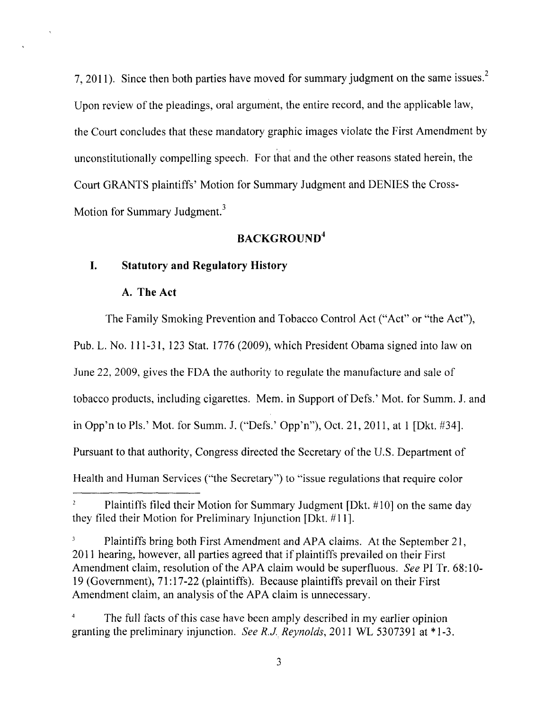7, 2011). Since then both parties have moved for summary judgment on the same issues.<sup>2</sup> Upon review of the pleadings, oral argument, the entire record, and the applicable law, the Court concludes that these mandatory graphic images violate the First Amendment by unconstitutionally compelling speech. For that and the other reasons stated herein, the Court GRANTS plaintiffs' Motion for Summary Judgment and DENIES the Cross-Motion for Summary Judgment.<sup>3</sup>

## **BACKGROUND<sup>4</sup>**

### **I. Statutory and Regulatory History**

#### **A. The Act**

The Family Smoking Prevention and Tobacco Control Act ("Act" or "the Act"), Pub. L. No. 111-31, 123 Stat. 1776 (2009), which President Obama signed into law on June 22, 2009, gives the FDA the authority to regulate the manufacture and sale of tobacco products, including cigarettes. Mem. in Support of Defs.' Mot. for Summ. 1. and in Opp'n to Pis.' Mot. for Summ. J. ("Defs.' Opp'n"), Oct. 21, 2011, at 1 [Dkt. #34]. Pursuant to that authority, Congress directed the Secretary of the U.S. Department of Health and Human Services ("the Secretary") to "issue regulations that require color

Plaintiffs filed their Motion for Summary Judgment [Dkt. #10] on the same day they filed their Motion for Preliminary Injunction [Dkt. #11].

 $\mathfrak{Z}$ Plaintiffs bring both First Amendment and APA claims. At the September 21, 2011 hearing, however, all parties agreed that if plaintiffs prevailed on their First Amendment claim, resolution of the APA claim would be superfluous. *See* PI Tr. 68:10- 19 (Government), 71:17-22 (plaintiffs). Because plaintiffs prevail on their First Amendment claim, an analysis of the APA claim is unnecessary.

The full facts of this case have been amply described in my earlier opinion granting the preliminary injunction. *See R.J Reynolds,* **2011** WL 5307391 at \* 1-3.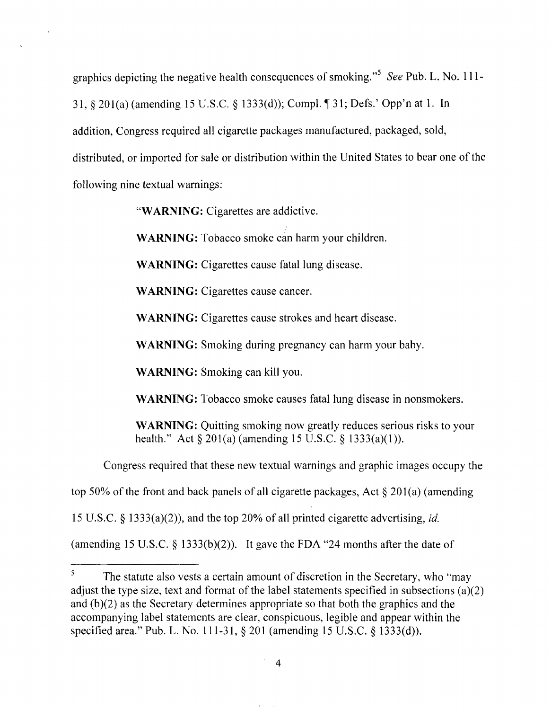graphics depicting the negative health consequences of smoking."<sup>5</sup> See Pub. L. No. 111-31, § 201(a) (amending 15 U.S.C. § 1333(d)); Compl. ¶ 31; Defs.' Opp'n at 1. In addition, Congress required all cigarette packages manufactured, packaged, sold, distributed, or imported for sale or distribution within the United States to bear one of the following nine textual warnings:

"WARNING: Cigarettes are addictive.

WARNING: Tobacco smoke can harm your children.

WARNING: Cigarettes cause fatal lung disease.

WARNING: Cigarettes cause cancer.

WARNING: Cigarettes cause strokes and heart disease.

WARNING: Smoking during pregnancy can harm your baby.

WARNING: Smoking can kill you.

WARNING: Tobacco smoke causes fatal lung disease in nonsmokers.

WARNING: Quitting smoking now greatly reduces serious risks to your health." Act  $\S 201(a)$  (amending 15 U.S.C.  $\S 1333(a)(1)$ ).

Congress required that these new textual warnings and graphic images occupy the

top 50% of the front and back panels of all cigarette packages, Act § 201(a) (amending

15 U.S.C. § 1333(a)(2», and the top 20% of all printed cigarette advertising, *id.* 

(amending 15 U.S.C.  $\S$  1333(b)(2)). It gave the FDA "24 months after the date of

 $\overline{\mathbf{5}}$ The statute also vests a certain amount of discretion in the Secretary, who "may adjust the type size, text and format of the label statements specified in subsections (a)(2) and  $(b)(2)$  as the Secretary determines appropriate so that both the graphics and the accompanying label statements are clear, conspicuous, legible and appear within the specified area." Pub. L. No. 111-31, § 201 (amending 15 U.S.C. § 1333(d)).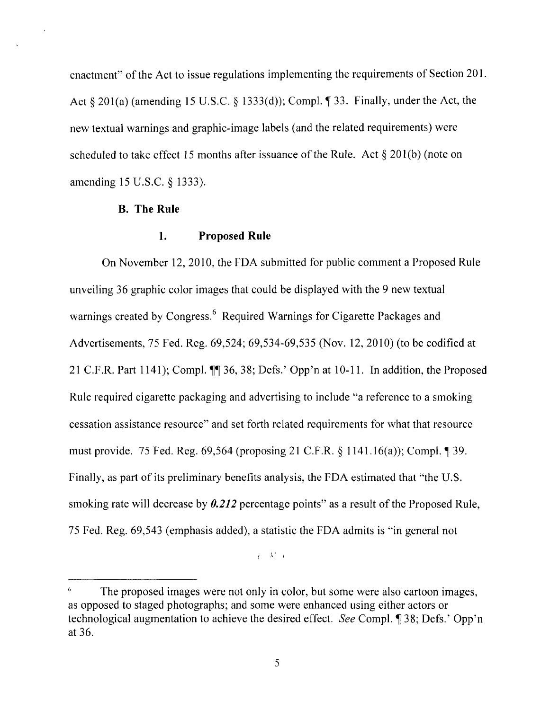enactment" of the Act to issue regulations implementing the requirements of Section 201. Act  $\S 201(a)$  (amending 15 U.S.C.  $\S 1333(d)$ ); Compl.  $\S 33$ . Finally, under the Act, the new textual warnings and graphic-image labels (and the related requirements) were scheduled to take effect 15 months after issuance of the Rule. Act  $\S 201(b)$  (note on amending 15 U.S.C. § 1333).

#### **B. The Rule**

#### **1. Proposed Rule**

On November 12,2010, the FDA submitted for public comment a Proposed Rule unveiling 36 graphic color images that could be displayed with the 9 new textual warnings created by Congress.<sup>6</sup> Required Warnings for Cigarette Packages and Advertisements, 75 Fed. Reg. 69,524; 69,534-69,535 (Nov. 12,2010) (to be codified at 21 C.F.R. Part 1141); Compl.  $\P\P$  36, 38; Defs.' Opp'n at 10-11. In addition, the Proposed Rule required cigarette packaging and advertising to include "a reference to a smoking cessation assistance resource" and set forth related requirements for what that resource must provide. 75 Fed. Reg.  $69,564$  (proposing 21 C.F.R.  $\S$  1141.16(a)); Compl.  $\P$  39. Finally, as part of its preliminary benefits analysis, the FDA estimated that "the U.S. smoking rate will decrease by *0.212* percentage points" as a result of the Proposed Rule, 75 Fed. Reg. 69,543 (emphasis added), a statistic the FDA admits is "in general not

 $\frac{1}{2}$ ,  $\frac{1}{2}$ 

The proposed images were not only in color, but some were also cartoon images, as opposed to staged photographs; and some were enhanced using either actors or technological augmentation to achieve the desired effect. *See* Compl. <sup>1</sup> 38; Defs.' Opp'n at 36.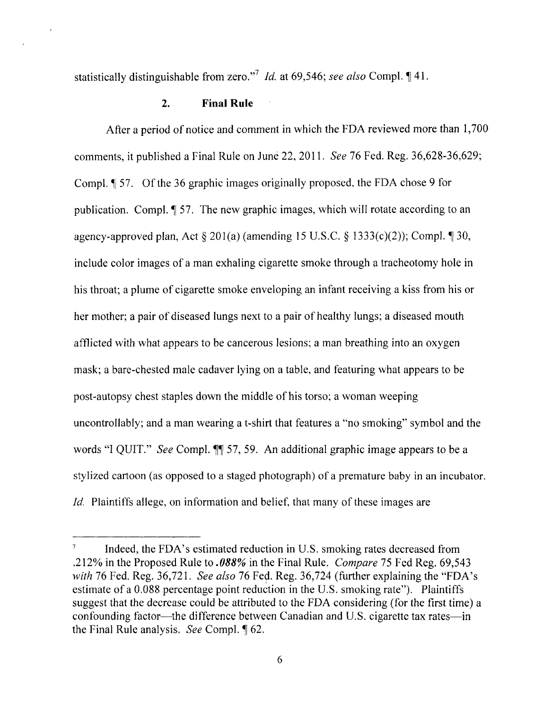statistically distinguishable from zero."<sup>7</sup> *Id.* at 69,546; see also Compl. 141.

#### 2. **Final Rule**

After a period of notice and comment in which the FDA reviewed more than 1,700 comments, it published a Final Rule on June 22, 2011. *See* 76 Fed. Reg. 36,628-36,629; Compl.  $\llbracket$  57. Of the 36 graphic images originally proposed, the FDA chose 9 for publication. Compl.  $\parallel$  57. The new graphic images, which will rotate according to an agency-approved plan, Act  $\S 201(a)$  (amending 15 U.S.C.  $\S 1333(c)(2)$ ); Compl.  $\P 30$ , include color images of a man exhaling cigarette smoke through a tracheotomy hole in his throat; a plume of cigarette smoke enveloping an infant receiving a kiss from his or her mother; a pair of diseased lungs next to a pair of healthy lungs; a diseased mouth afflicted with what appears to be cancerous lesions; a man breathing into an oxygen mask; a bare-chested male cadaver lying on a table, and featuring what appears to be post-autopsy chest staples down the middle· of his torso; a woman weeping uncontrollably; and a man wearing a t-shirt that features a "no smoking" symbol and the words "I QUIT." *See* Compl.  $\P$  57, 59. An additional graphic image appears to be a stylized cartoon (as opposed to a staged photograph) of a premature baby in an incubator. Id. Plaintiffs allege, on information and belief, that many of these images are

Indeed, the FDA's estimated reduction in U.S. smoking rates decreased from .212% in the Proposed Rule to *.088%* in the Final Rule. *Compare* 75 Fed Reg. 69,543 *with* 76 Fed. Reg. 36,721. *See also* 76 Fed. Reg. 36,724 (further explaining the "FDA's estimate of a 0.088 percentage point reduction in the U.S. smoking rate"). Plaintiffs suggest that the decrease could be attributed to the FDA considering (for the first time) a confounding factor—the difference between Canadian and U.S. cigarette tax rates—in the Final Rule analysis. *See* Compl.  $\oint 62$ .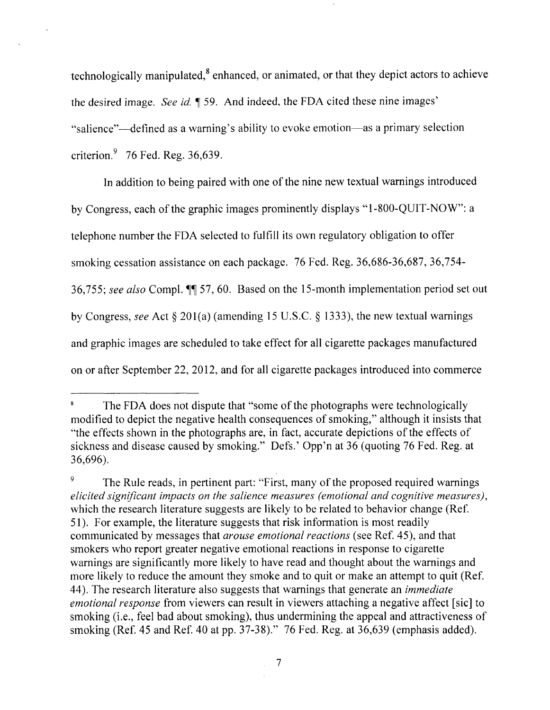technologically manipulated, $8$  enhanced, or animated, or that they depict actors to achieve the desired image. *See id.*  $\parallel$  59. And indeed, the FDA cited these nine images' "salience"—defined as a warning's ability to evoke emotion—as a primary selection criterion. $9\quad$  76 Fed. Reg. 36,639.

In addition to being paired with one of the nine new textual warnings introduced by Congress, each of the graphic images prominently displays "1-800-QUIT-NOW": a telephone number the FDA selected to fulfill its own regulatory obligation to offer smoking cessation assistance on each package. 76 Fed. Reg. 36,686-36,687, 36,754- 36,755; see also Compl.  $\P$  57, 60. Based on the 15-month implementation period set out by Congress, *see* Act § 201(a) (amending 15 U.S.C. § 1333), the new textual warnings and graphic images are scheduled to take effect for all cigarette packages manufactured on or after September 22, 2012, and for all cigarette packages introduced into commerce

 $\bf{8}$ The FDA does not dispute that "some of the photographs were technologically modified to depict the negative health consequences of smoking," although it insists that "the effects shown in the photographs are, in fact, accurate depictions of the effects of sickness and disease caused by smoking." Defs.' Opp'n at 36 (quoting 76 Fed. Reg. at 36,696).

<sup>&</sup>lt;sup>9</sup> The Rule reads, in pertinent part: "First, many of the proposed required warnings *elicited significant impacts on the salience measures (emotional and cognitive measures),*  which the research literature suggests are likely to be related to behavior change (Ref. 51). For example, the literature suggests that risk information is most readily communicated by messages that *arouse emotional reactions* (see Ref. 45), and that smokers who report greater negative emotional reactions in response to cigarette warnings are significantly more likely to have read and thought about the warnings and more likely to reduce the amount they smoke and to quit or make an attempt to quit (Ref. 44). The research literature also suggests that warnings that generate an *immediate emotional response* from viewers can result in viewers attaching a negative affect [sic] to smoking (i.e., feel bad about smoking), thus undermining the appeal and attractiveness of smoking (Ref. 45 and Ref. 40 at pp. 37-38)." 76 Fed. Reg. at 36,639 (emphasis added).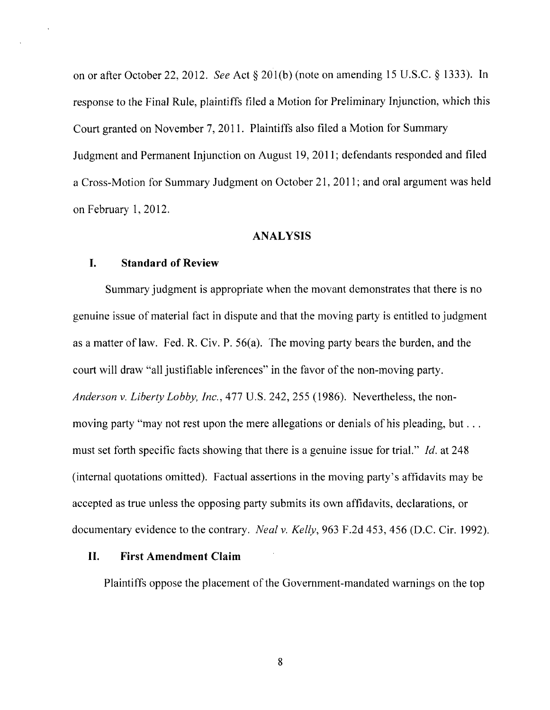on or after October 22,2012. *See* Act § 201(b) (note on amending 15 U.S.C. § 1333). In response to the Final Rule, plaintiffs filed a Motion for Preliminary Injunction, which this Court granted on November 7,2011. Plaintiffs also filed a Motion for Summary Judgment and Permanent Injunction on August 19, 2011; defendants responded and filed a Cross-Motion for Summary Judgment on October 21, 2011; and oral argument was held on February 1,2012.

#### **ANALYSIS**

#### **I. Standard of Review**

Summary judgment is appropriate when the movant demonstrates that there is no genuine issue of material fact in dispute and that the moving party is entitled to judgment as a matter of law. Fed. R. Civ. P.  $56(a)$ . The moving party bears the burden, and the court will draw "all justifiable inferences" in the favor of the non-moving party. *Anderson* v. *Liberty Lobby, Inc.,* 477 U.S. 242,255 (1986). Nevertheless, the nonmoving party "may not rest upon the mere allegations or denials of his pleading, but ... must set forth specific facts showing that there is a genuine issue for trial." *Id.* at 248 (internal quotations omitted). Factual assertions in the moving party's affidavits may be accepted as true unless the opposing party submits its own affidavits, declarations, or documentary evidence to the contrary. *Neal* v. *Kelly,* 963 F .2d 453, 456 (D.C. Cir. 1992).

#### **II. First Amendment Claim**

Plaintiffs oppose the placement of the Government-mandated warnings on the top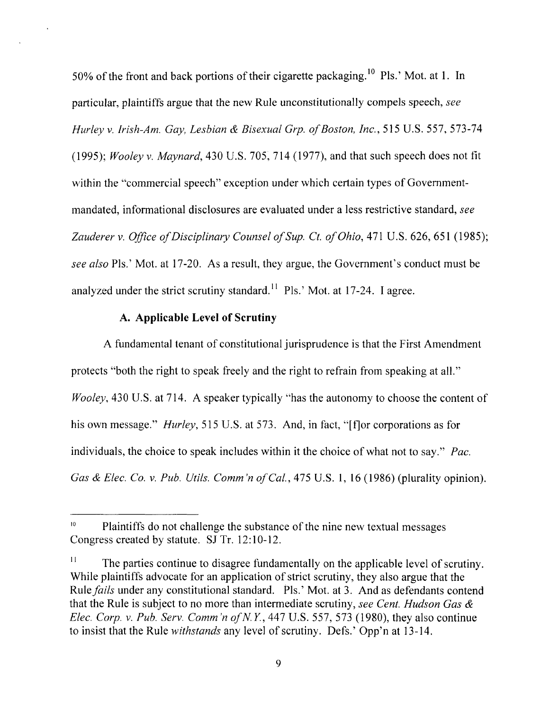50% of the front and back portions of their cigarette packaging.<sup>10</sup> Pls.' Mot. at 1. In particular, plaintiffs argue that the new Rule unconstitutionally compels speech, *see Hurley* v. *Irish-Am. Gay, Lesbian* & *Bisexual Grp. o/Boston, Inc.,* 515 U.S. 557, 573-74 *(1995); Wooley* v. *Maynard,* 430 U.S. 705, 714 (1977), and that such speech does not tit within the "commercial speech" exception under which certain types of Governmentmandated, informational disclosures are evaluated under a less restrictive standard, *see*  Zauderer v. *Office of Disciplinary Counsel of Sup. Ct. of Ohio*, 471 U.S. 626, 651 (1985); *see also* PIs.' Mot. at 17-20. As a result, they argue, the Government's conduct must be analyzed under the strict scrutiny standard.<sup> $11$ </sup> Pls.' Mot. at 17-24. I agree.

#### A. Applicable Level of Scrutiny

A fundamental tenant of constitutional jurisprudence is that the First Amendment protects "both the right to speak freely and the right to refrain from speaking at all." *Wooley*, 430 U.S. at 714. A speaker typically "has the autonomy to choose the content of his own message." *Hurley*, 515 U.S. at 573. And, in fact, "[f] or corporations as for individuals, the choice to speak includes within it the choice of what not to say." *Pac. Gas & Elec. Co. v. Pub. Utils. Comm'n of Cal.*, 475 U.S. 1, 16 (1986) (plurality opinion).

 $10$  Plaintiffs do not challenge the substance of the nine new textual messages Congress created by statute. SJ Tr. 12:10-12.

 $\Gamma$ <sup>11</sup> The parties continue to disagree fundamentally on the applicable level of scrutiny. While plaintiffs advocate for an application of strict scrutiny, they also argue that the *Rule fails under any constitutional standard.* Pls.' Mot. at 3. And as defendants contend that the Rule is subject to no more than intermediate scrutiny, *see Cent. Hudson Gas* & *Elec. Corp. v. Pub. Serv. Comm'n of N.Y.*, 447 U.S. 557, 573 (1980), they also continue to insist that the Rule *withstands* any level of scrutiny. Defs.' Opp'n at 13-14.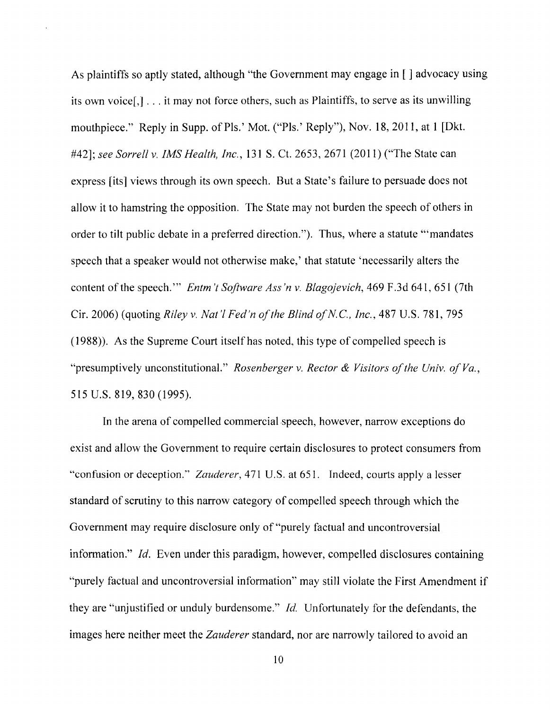As plaintiffs so aptly stated, although "the Government may engage in [ ] advocacy using its own voice[,] ... it may not force others, such as Plaintiffs, to serve as its unwilling mouthpiece." Reply in SUpp. of Pis.' Mot. ("PIs.' Reply"), Nov. 18,2011, at 1 [Dkt. *#42]; see Sorrell* v. *IMS Health, Inc.,* 131 S. Ct. 2653, 2671 (2011) ("The State can express [its] views through its own speech. But a State's failure to persuade does not allow it to hamstring the opposition. The State may not burden the speech of others in order to tilt public debate in a preferred direction."). Thus, where a statute "'mandates speech that a speaker would not otherwise make,' that statute 'necessarily alters the content of the speech. '" *Entm 't Software Ass 'n* v. *Blagojevich,* 469 F .3d 641, 651 (7th Cir. 2006) (quoting *Riley* v. *Nat* 'I *Fed'n of the Blind ofN.C., Inc.,* 487 U.S. 781, 795 (1988)). As the Supreme Court itself has noted, this type of compelled speech is "presumptively unconstitutional." *Rosenberger* v. *Rector* & *Visitors of the Univ. of Va.,*  515 U.S. 819, 830 (1995).

In the arena of compelled commercial speech, however, narrow exceptions do exist and allow the Government to require certain disclosures to protect consumers from "confusion or deception:' *Zauderer,471* U.S. at 651. Indeed, courts apply a lesser standard of scrutiny to this narrow category of compelled speech through which the Government may require disclosure only of "purely factual and uncontroversial information." *Id.* Even under this paradigm, however, compelled disclosures containing "purely factual and uncontroversial information" may still violate the First Amendment if they are "unjustified or unduly burdensome." *Id.* Unfortunately for the defendants, the images here neither meet the *Zauderer* standard, nor are narrowly tailored to avoid an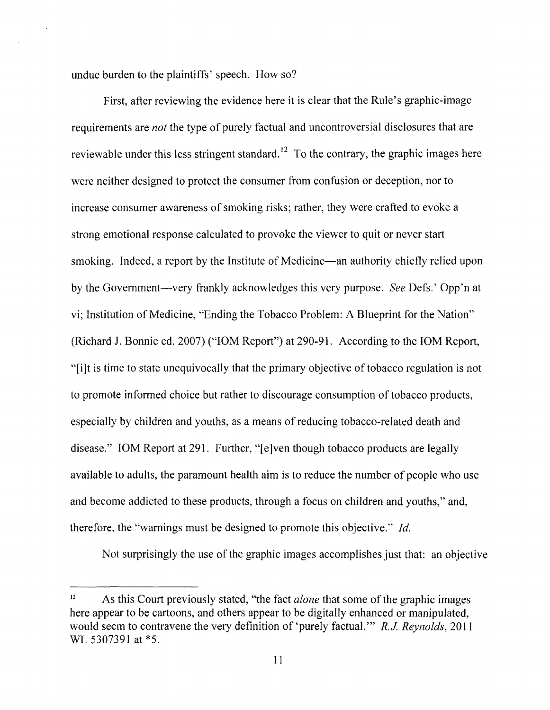undue burden to the plaintiffs' speech. How so?

First, after reviewing the evidence here it is clear that the Rule's graphic-image requirements are *not* the type of purely factual and uncontroversial disclosures that are reviewable under this less stringent standard.<sup>12</sup> To the contrary, the graphic images here were neither designed to protect the consumer from confusion or deception, nor to increase consumer awareness of smoking risks; rather, they were crafted to evoke a strong emotional response calculated to provoke the viewer to quit or never start smoking. Indeed, a report by the Institute of Medicine—an authority chiefly relied upon by the Government-very frankly acknowledges this very purpose. *See* Defs.' Opp'n at vi; Institution of Medicine, "Ending the Tobacco Problem: A Blueprint for the Nation" (Richard J. Bonnie ed. 2007) ("10M Report") at 290-91. According to the 10M Report, "[i]t is time to state unequivocally that the primary objective of tobacco regulation is not to promote informed choice but rather to discourage consumption of tobacco products, especially by children and youths, as a means of reducing tobacco-related death and disease." 10M Report at 291. Further, "[e]ven though tobacco products are legally available to adults, the paramount health aim is to reduce the number of people who use and become addicted to these products, through a focus on children and youths," and, therefore, the "warnings must be designed to promote this objective." Jd.

Not surprisingly the use of the graphic images accomplishes just that: an objective

<sup>12</sup> As this Court previously stated, "the fact *alone* that some of the graphic images here appear to be cartoons, and others appear to be digitally enhanced or manipulated, would seem to contravene the very definition of 'purely factual. '" *R.J. Reynolds,* 2011 WL 5307391 at \*5.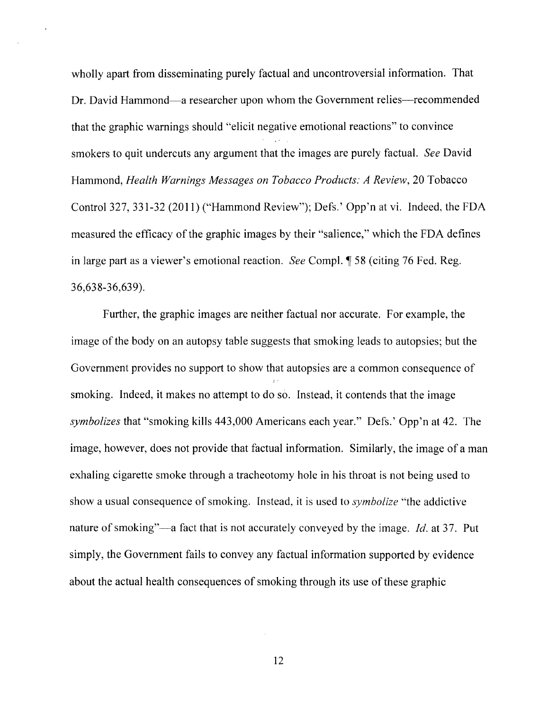wholly apart from disseminating purely factual and uncontroversial information. That Dr. David Hammond—a researcher upon whom the Government relies—recommended that the graphic warnings should "elicit negative emotional reactions" to convince smokers to quit undercuts any argument that the images are purely factual. *See* David Hammond, *Health Warnings Messages on Tobacco Products: A Review,* 20 Tobacco Control 327, 331-32 (2011) ("Hammond Review"); Defs.' Opp'n at vi. Indeed, the FDA measured the efficacy of the graphic images by their "salience," which the FDA defines in large part as a viewer's emotional reaction. *See* Compl. *[58 (citing 76 Fed. Reg.*) 36,638-36,639).

Further, the graphic images are neither factual nor accurate. For example, the image of the body on an autopsy table suggests that smoking leads to autopsies; but the Government provides no support to show that autopsies are a common consequence of smoking. Indeed, it makes no attempt to do so. Instead, it contends that the image *symbolizes* that "smoking kills 443,000 Americans each year." Defs.' Opp'n at 42. The image, however, does not provide that factual information. Similarly, the image of a man exhaling cigarette smoke through a tracheotomy hole in his throat is not being used to show a usual consequence of smoking. Instead, it is used to *symbolize* "the addictive nature of smoking"—a fact that is not accurately conveyed by the image. *Id.* at 37. Put simply, the Government fails to convey any factual information supported by evidence about the actual health consequences of smoking through its use of these graphic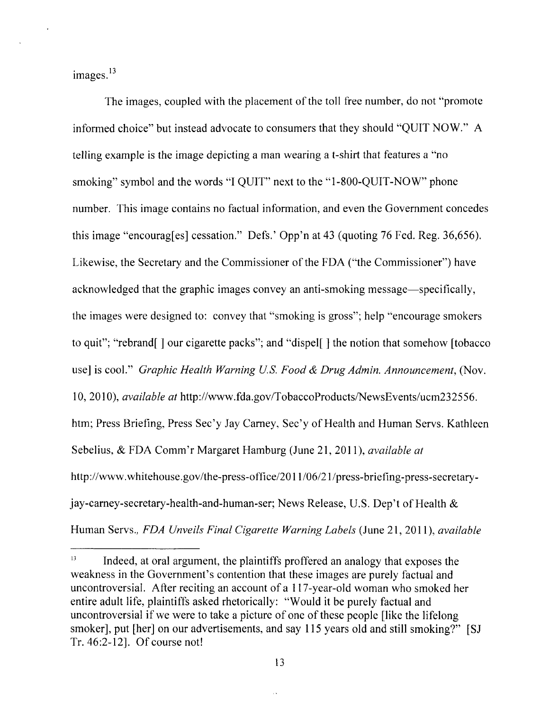$images.<sup>13</sup>$ 

The images, coupled with the placement of the toll free number, do not "promote informed choice" but instead advocate to consumers that they should "QUIT NOW." A telling example is the image depicting a man wearing a t-shirt that features a "no smoking" symbol and the words "I QUIT" next to the "1-800-QUIT-NOW" phone number. This image contains no factual information, and even the Government concedes this image "encourag[es] cessation." Defs.' Opp'n at 43 (quoting 76 Fed. Reg. 36,656). Likewise, the Secretary and the Commissioner of the FDA ("the Commissioner") have acknowledged that the graphic images convey an anti-smoking message—specifically, the images were designed to: convey that "smoking is gross"; help "encourage smokers to quit"; "rebrand[ ] our cigarette packs"; and "dispel[ ] the notion that somehow [tobacco use] is cool." *Graphic Health Warning u.s. Food* & *Drug Admin. Announcement,* (Nov. 1 0, 2010), *available at* http://www.fda.gov/TobaccoProducts/NewsEvents/ucm232556. htm; Press Briefing, Press Sec'y Jay Carney, Sec'y of Health and Human Servs. Kathleen Sebelius, & FDA Comm'r Margaret Hamburg (June 21,2011), *available at*  http://www.whitehouse.gov/the-press-office/2011/06/21/press-briefing-press-secretaryjay-carney-secretary-health-and-human-ser; News Release, U.S. Dep't of Health & Human Servs., *FDA Unveils Final Cigarette Warning Labels* (June 21, 2011), *available* 

<sup>&</sup>lt;sup>13</sup> Indeed, at oral argument, the plaintiffs proffered an analogy that exposes the weakness in the Government's contention that these images are purely factual and uncontroversial. After reciting an account of a 117 -year-old woman who smoked her entire adult life, plaintiffs asked rhetorically: "Would it be purely factual and uncontroversial if we were to take a picture of one of these people [like the lifelong smoker], put [her] on our advertisements, and say 115 years old and still smoking?" [SJ Tr.46:2-12J. Of course not!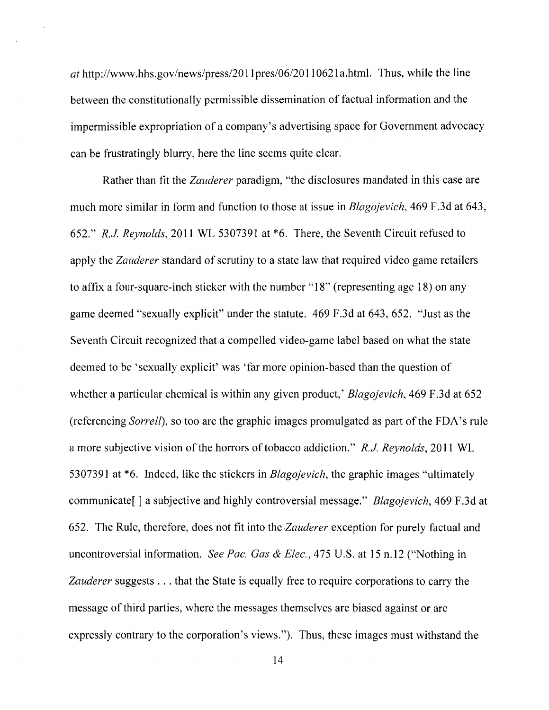*at http://www.hhs.gov/news/press/2011pres/06/20110621a.html. Thus, while the line* between the constitutionally permissible dissemination of factual information and the impermissible expropriation of a company's advertising space for Government advocacy can be frustratingly blurry, here the line seems quite clear.

Rather than fit the *Zauderer* paradigm, "the disclosures mandated in this case are much more similar in form and function to those at issue in *Blagojevich,* 469 F.3d at 643, *652." R.J. Reynolds,* 2011 WL 5307391 at \*6. There, the Seventh Circuit refused to apply the *Zauderer* standard of scrutiny to a state law that required video game retailers to affix a four-square-inch sticker with the number "18" (representing age 18) on any game deemed "sexually explicit" under the statute. 469 F.3d at 643, 652. "Just as the Seventh Circuit recognized that a compelled video-game label based on what the state deemed to be 'sexually explicit' was 'far more opinion-based than the question of whether a particular chemical is within any given product,' *Blagojevich,* 469 F.3d at 652 (referencing *Sorrell),* so too are the graphic images promulgated as part of the FDA's rule a more subjective vision of the horrors of tobacco addiction." *R.J. Reynolds,* 2011 WL 5307391 at \*6. Indeed, like the stickers in *Blagojevich,* the graphic images "ultimately communicate[ ] a subjective and highly controversial message." *Blagojevich,* 469 F.3d at 652. The Rule, therefore, does not fit into the *Zauderer* exception for purely factual and uncontroversial information. *See Pac. Gas* & *Elec.,* 475 U.S. at 15 n.l2 ("Nothing in *Zauderer* suggests ... that the State is equally free to require corporations to carry the message of third parties, where the messages themselves are biased against or are expressly contrary to the corporation's views."). Thus, these images must withstand the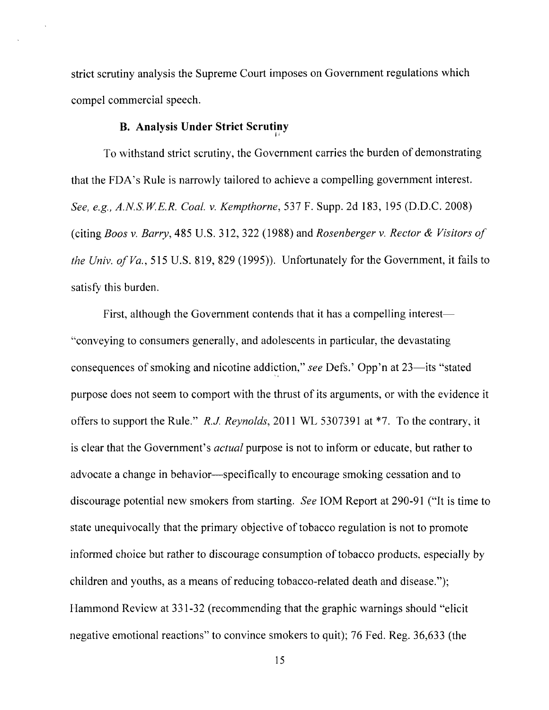strict scrutiny analysis the Supreme Court imposes on Government regulations which compel commercial speech.

# **B. Analysis Under Strict Scrutiny**  I'

To withstand strict scrutiny, the Government carries the burden of demonstrating that the FDA's Rule is narrowly tailored to achieve a compelling government interest. *See, e.g., A.N.S. W.E.R. Coal.* v. *Kempthorne,* 537 F. Supp. 2d 183, 195 (D.D.C. 2008) (citing *Boos* v. *Barry,* 485 U.S. 312, 322 (1988) and *Rosenberger* v. *Rector* & *Visitors 01 the Univ. 01 Va.* , 515 U.S. 819, 829 (1995)). Unfortunately for the Government, it fails to satisfy this burden.

First, although the Government contends that it has a compelling interest— "conveying to consumers generally, and adolescents in particular, the devastating consequences of smoking and nicotine addiction," *see* Defs.' Opp'n at 23—its "stated purpose does not seem to comport with the thrust of its arguments, or with the evidence it offers to support the Rule." *R.J Reynolds,* **2011** WL 5307391 at \*7. To the contrary, it is clear that the Government's *actual* purpose is not to inform or educate, but rather to advocate a change in behavior—specifically to encourage smoking cessation and to discourage potential new smokers from starting. *See* 10M Report at 290-91 ("It is time to state unequivocally that the primary objective of tobacco regulation is not to promote informed choice but rather to discourage consumption of tobacco products, especially by children and youths, as a means of reducing tobacco-related death and disease."); Hammond Review at 331-32 (recommending that the graphic warnings should "elicit negative emotional reactions" to convince smokers to quit); 76 Fed. Reg. 36,633 (the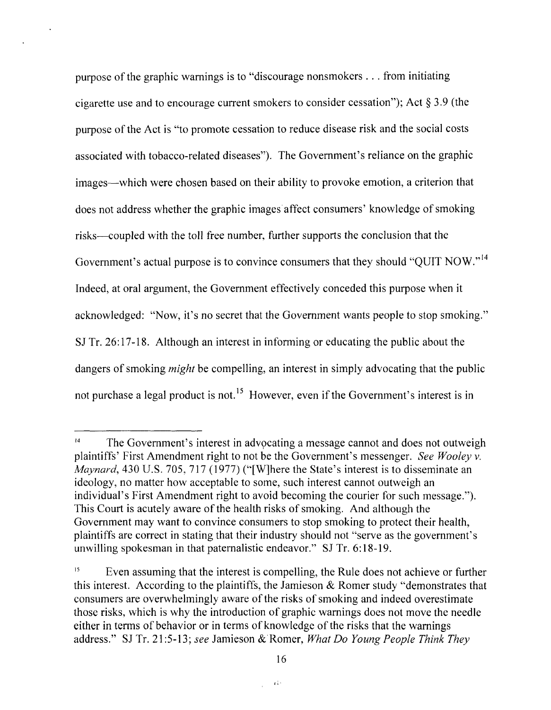purpose of the graphic warnings is to "discourage nonsmokers ... from initiating cigarette use and to encourage current smokers to consider cessation"); Act § 3.9 (the purpose of the Act is "to promote cessation to reduce disease risk and the social costs associated with tobacco-related diseases"). The Government's reliance on the graphic images-which were chosen based on their ability to provoke emotion, a criterion that does not address whether the graphic images'affect consumers' knowledge of smoking risks-coupled with the toll free number, further supports the conclusion that the Government's actual purpose is to convince consumers that they should "QUIT NOW."<sup>14</sup> Indeed, at oral argument, the Government effectively conceded this purpose when it acknowledged: "Now, it's no secret that the Government wants people to stop smoking." SJ Tr. 26:17-18. Although an interest in informing or educating the public about the dangers of smoking *might* be compelling, an interest in simply advocating that the public not purchase a legal product is not.<sup>15</sup> However, even if the Government's interest is in

 $14$  The Government's interest in advocating a message cannot and does not outweigh plaintiffs' First Amendment right to not be the Government's messenger. *See Wooley v. Maynard*, 430 U.S. 705, 717 (1977) ("[W]here the State's interest is to disseminate an ideology, no matter how acceptable to some, such interest cannot outweigh an individual's First Amendment right to avoid becoming the courier for such message."). This Court is acutely aware of the health risks of smoking. And although the Government may want to convince consumers to stop smoking to protect their health, plaintiffs are correct in stating that their industry should not "serve as the government's unwilling spokesman in that paternalistic endeavor." SJ Tr. 6: 18-19.

 $15$  Even assuming that the interest is compelling, the Rule does not achieve or further this interest. According to the plaintiffs, the Jamieson  $\&$  Romer study "demonstrates that consumers are overwhelmingly aware of the risks of smoking and indeed overestimate those risks, which is why the introduction of graphic warnings does not move the needle either in terms of behavior or in terms of knowledge of the risks that the warnings address." SJ Tr. 21:5-13; *see* Jamieson & Romer, *What Do Young People Think They*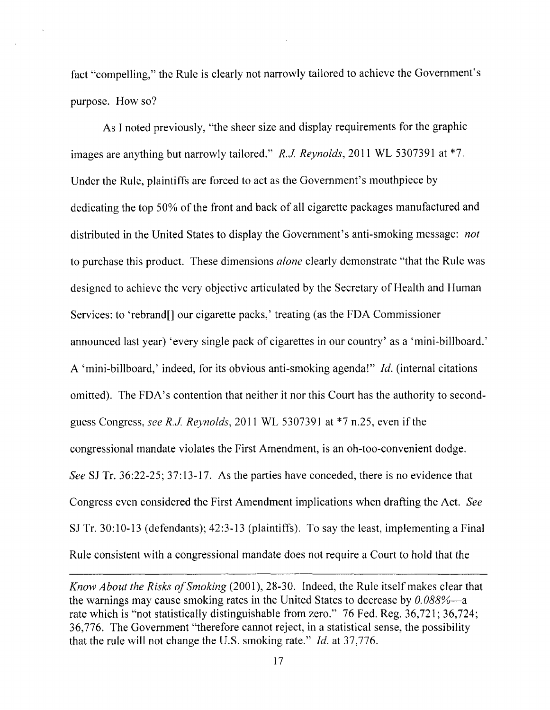fact "compelling," the Rule is clearly not narrowly tailored to achieve the Government's purpose. How so?

As I noted previously, "the sheer size and display requirements for the graphic images are anything but narrowly tailored." *R.J Reynolds,* 2011 WL 5307391 at \*7. Under the Rule, plaintiffs are forced to act as the Government's mouthpiece by dedicating the top 50% of the front and back of all cigarette packages manufactured and distributed in the United States to display the Government's anti-smoking message: *not*  to purchase this product. These dimensions *alone* clearly demonstrate "that the Rule was designed to achieve the very objective articulated by the Secretary of Health and Human Services: to 'rebrand[] our cigarette packs,' treating (as the FDA Commissioner announced last year) 'every single pack of cigarettes in our country' as a 'mini-billboard.' A 'mini-billboard,' indeed, for its obvious anti-smoking agenda!" *Id.* (internal citations omitted). The FDA's contention that neither it nor this Court has the authority to secondguess Congress, *see R.J Reynolds,* 2011 WL 5307391 at \*7 n.25, even if the congressional mandate violates the First Amendment, is an oh-too-convenient dodge. *See* SJ Tr. 36:22-25; 37:13-17. As the parties have conceded, there is no evidence that Congress even considered the First Amendment implications when drafting the Act. *See*  SJ Tr. 30:10-13 (defendants); 42:3-13 (plaintiffs). To say the least, implementing a Final Rule consistent with a congressional mandate does not require a Court to hold that the

*Know About the Risks o/Smoking* (2001),28-30. Indeed, the Rule itself makes clear that the warnings may cause smoking rates in the United States to decrease by  $0.088\%$ —a rate which is "not statistically distinguishable from zero." 76 Fed. Reg. 36,721; 36,724; 36,776. The Government "therefore cannot reject, in a statistical sense, the possibility that the rule will not change the U.S. smoking rate." *Id.* at 37,776.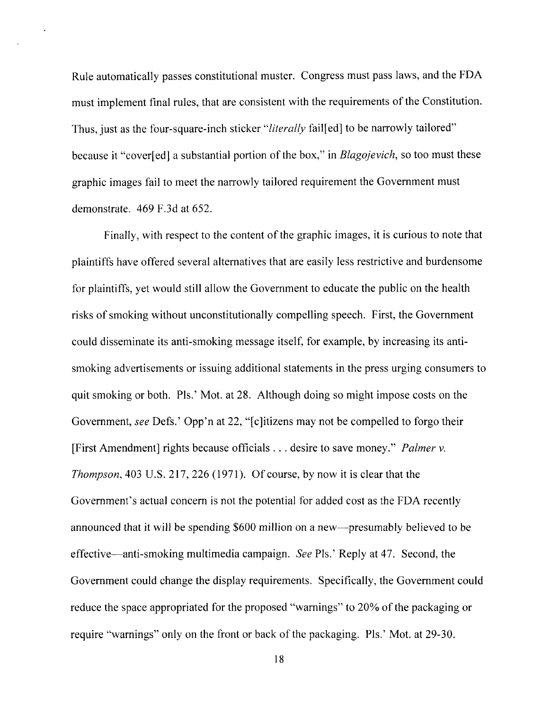Rule automatically passes constitutional muster. Congress must pass laws, and the FDA must implement final rules, that are consistent with the requirements of the Constitution. Thus, just as the four-square-inch sticker "literally fail<sup>[ed]</sup> to be narrowly tailored" because it "cover[ed] a substantial portion of the box," in *Blagojevich*, so too must these graphic images fail to meet the narrowly tailored requirement the Government must demonstrate. 469 F.3d at 652.

 $\overline{a}$ 

Finally, with respect to the content of the graphic images, it is curious to note that plaintiffs have offered several alternatives that are easily less restrictive and burdensome for plaintiffs, yet would still allow the Government to educate the public on the health risks of smoking without unconstitutionally compelling speech. First, the Government could disseminate its anti-smoking message itself, for example, by increasing its antismoking advertisements or issuing additional statements in the press urging consumers to quit smoking or both. Pis.' Mot. at 28. Although doing so might impose costs on the Government, *see* Defs.' Opp'n at 22, "[c]itizens may not be compelled to forgo their [First Amendment] rights because officials ... desire to save money." *Palmer v. Thompson,* 403 U.S. 217, 226 (1971). Of course, by now it is clear that the Government's actual concern is not the potential for added cost as the FDA recently announced that it will be spending \$600 million on a new—presumably believed to be effective-anti-smoking multimedia campaign. *See* Pis.' Reply at 47. Second, the Government could change the display requirements. Specifically, the Government could reduce the space appropriated for the proposed "warnings" to 20% of the packaging or require "warnings" only on the front or back of the packaging. Pis.' Mot. at 29-30.